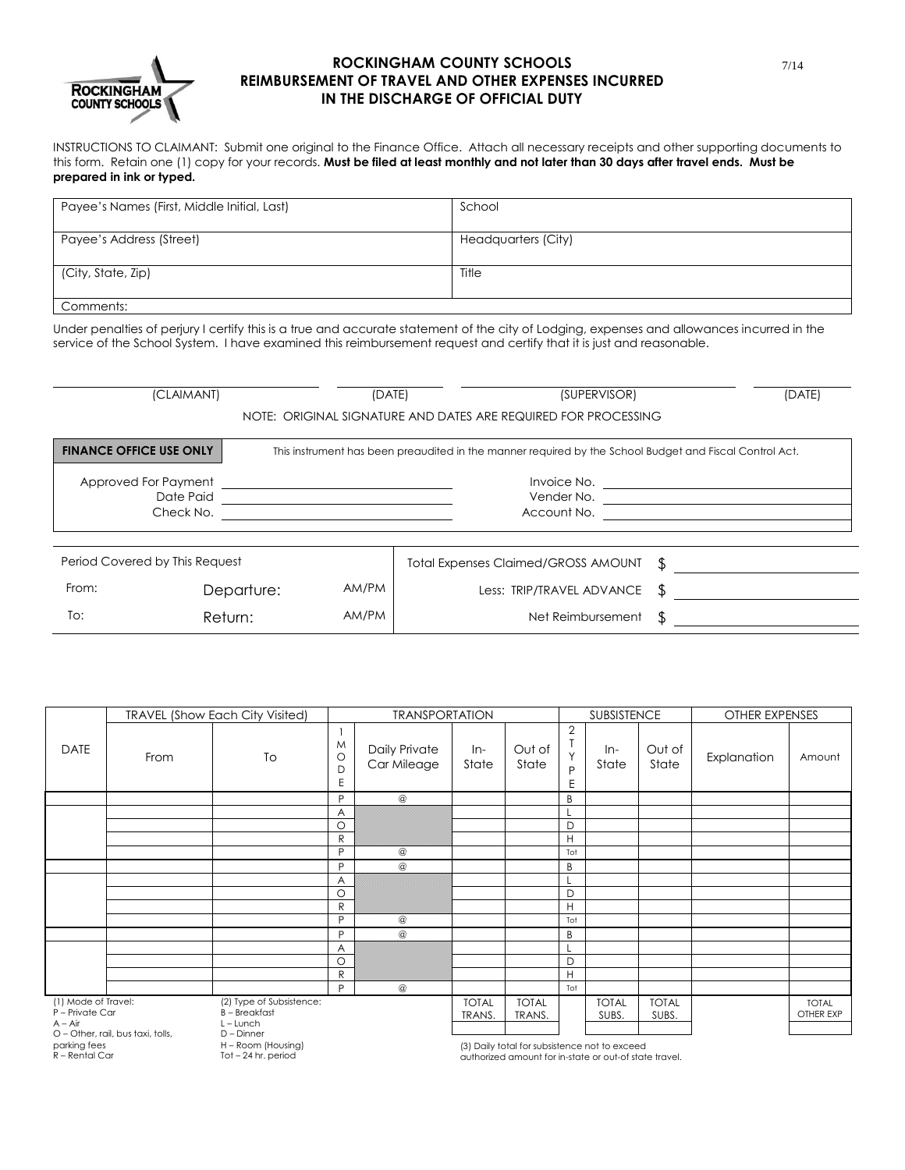

## **ROCKINGHAM COUNTY SCHOOLS REIMBURSEMENT OF TRAVEL AND OTHER EXPENSES INCURRED IN THE DISCHARGE OF OFFICIAL DUTY**

INSTRUCTIONS TO CLAIMANT: Submit one original to the Finance Office. Attach all necessary receipts and other supporting documents to this form. Retain one (1) copy for your records. **Must be filed at least monthly and not later than 30 days after travel ends. Must be prepared in ink or typed.**

| Payee's Names (First, Middle Initial, Last) | School              |
|---------------------------------------------|---------------------|
| Payee's Address (Street)                    | Headquarters (City) |
| (City, State, Zip)                          | Title               |
| Comments:                                   |                     |

Under penalties of perjury I certify this is a true and accurate statement of the city of Lodging, expenses and allowances incurred in the service of the School System. I have examined this reimbursement request and certify that it is just and reasonable.

| (CLAIMANT)<br>(DATE)                                                                                                                      |            |       | (SUPERVISOR)                               |  | (DATE) |  |  |  |  |  |
|-------------------------------------------------------------------------------------------------------------------------------------------|------------|-------|--------------------------------------------|--|--------|--|--|--|--|--|
| NOTE: ORIGINAL SIGNATURE AND DATES ARE REQUIRED FOR PROCESSING                                                                            |            |       |                                            |  |        |  |  |  |  |  |
| <b>FINANCE OFFICE USE ONLY</b><br>This instrument has been preaudited in the manner required by the School Budget and Fiscal Control Act. |            |       |                                            |  |        |  |  |  |  |  |
| Approved For Payment                                                                                                                      |            |       | Invoice No.                                |  |        |  |  |  |  |  |
| Date Paid                                                                                                                                 |            |       | Vender No.                                 |  |        |  |  |  |  |  |
| Check No.                                                                                                                                 |            |       | Account No.                                |  |        |  |  |  |  |  |
|                                                                                                                                           |            |       |                                            |  |        |  |  |  |  |  |
| Period Covered by This Request                                                                                                            |            |       | <b>Total Expenses Claimed/GROSS AMOUNT</b> |  |        |  |  |  |  |  |
| From:                                                                                                                                     | Departure: | AM/PM | Less: TRIP/TRAVEL ADVANCE                  |  |        |  |  |  |  |  |
| To:                                                                                                                                       | Return:    | AM/PM | Net Reimbursement                          |  |        |  |  |  |  |  |

|                                                     |                                   | <b>TRAVEL (Show Each City Visited)</b>           | <b>TRANSPORTATION</b>  |                              |                        | <b>SUBSISTENCE</b>     |                                          | OTHER EXPENSES        |                       |             |                           |
|-----------------------------------------------------|-----------------------------------|--------------------------------------------------|------------------------|------------------------------|------------------------|------------------------|------------------------------------------|-----------------------|-----------------------|-------------|---------------------------|
| <b>DATE</b>                                         | From                              | To                                               | M<br>$\circ$<br>D<br>E | Daily Private<br>Car Mileage | $In-$<br>State         | Out of<br>State        | $\overline{2}$<br>$\checkmark$<br>D<br>E | In-<br>State          | Out of<br>State       | Explanation | Amount                    |
|                                                     |                                   |                                                  | P                      | $^{\circ}$                   |                        |                        | B                                        |                       |                       |             |                           |
|                                                     |                                   |                                                  | Α                      |                              |                        |                        |                                          |                       |                       |             |                           |
|                                                     |                                   |                                                  | $\circ$                |                              |                        |                        | D                                        |                       |                       |             |                           |
|                                                     |                                   |                                                  | ${\sf R}$              |                              |                        |                        | H                                        |                       |                       |             |                           |
|                                                     |                                   |                                                  | P                      | $^\copyright$                |                        |                        | Tot                                      |                       |                       |             |                           |
|                                                     |                                   |                                                  | P                      | $^\copyright$                |                        |                        | B                                        |                       |                       |             |                           |
|                                                     |                                   |                                                  | A                      |                              |                        |                        |                                          |                       |                       |             |                           |
|                                                     |                                   |                                                  | $\circ$                |                              |                        |                        | D                                        |                       |                       |             |                           |
|                                                     |                                   |                                                  | $\mathsf{R}$           |                              |                        |                        | H                                        |                       |                       |             |                           |
|                                                     |                                   |                                                  | P                      | $^\copyright$                |                        |                        | Tot                                      |                       |                       |             |                           |
|                                                     |                                   |                                                  | P                      | @                            |                        |                        | B                                        |                       |                       |             |                           |
|                                                     |                                   |                                                  | Α                      |                              |                        |                        |                                          |                       |                       |             |                           |
|                                                     |                                   |                                                  | $\circ$                |                              |                        |                        | D                                        |                       |                       |             |                           |
|                                                     |                                   |                                                  | ${\sf R}$              |                              |                        |                        | H                                        |                       |                       |             |                           |
|                                                     |                                   |                                                  | P                      | $^\copyright$                |                        |                        | Tot                                      |                       |                       |             |                           |
| (1) Mode of Travel:<br>P - Private Car<br>$A - Air$ |                                   | (2) Type of Subsistence:<br><b>B</b> – Breakfast |                        |                              | <b>TOTAL</b><br>TRANS. | <b>TOTAL</b><br>TRANS. |                                          | <b>TOTAL</b><br>SUBS. | <b>TOTAL</b><br>SUBS. |             | <b>TOTAL</b><br>OTHER EXP |
|                                                     | O - Other, rail, bus taxi, tolls, | $L$ – Lunch<br>D - Dinner                        |                        |                              |                        |                        |                                          |                       |                       |             |                           |

parking fees

R – Rental Car

H – Room (Housing) Tot – 24 hr. period

(3) Daily total for subsistence not to exceed

authorized amount for in-state or out-of state travel.